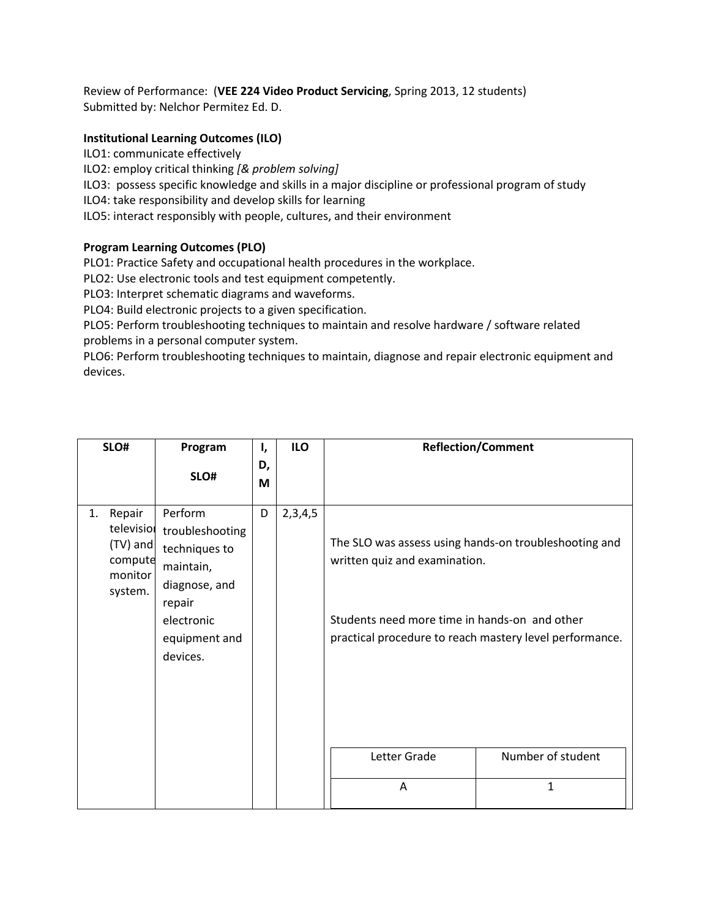Review of Performance: (**VEE 224 Video Product Servicing**, Spring 2013, 12 students) Submitted by: Nelchor Permitez Ed. D.

## **Institutional Learning Outcomes (ILO)**

ILO1: communicate effectively

ILO2: employ critical thinking *[& problem solving]*

ILO3: possess specific knowledge and skills in a major discipline or professional program of study

ILO4: take responsibility and develop skills for learning

ILO5: interact responsibly with people, cultures, and their environment

## **Program Learning Outcomes (PLO)**

PLO1: Practice Safety and occupational health procedures in the workplace.

PLO2: Use electronic tools and test equipment competently.

PLO3: Interpret schematic diagrams and waveforms.

PLO4: Build electronic projects to a given specification.

PLO5: Perform troubleshooting techniques to maintain and resolve hardware / software related problems in a personal computer system.

PLO6: Perform troubleshooting techniques to maintain, diagnose and repair electronic equipment and devices.

| SLO#                                                                    | Program                                                                                                                        | ι,      | ILO     |                                                                                                                                                                                                    | <b>Reflection/Comment</b> |
|-------------------------------------------------------------------------|--------------------------------------------------------------------------------------------------------------------------------|---------|---------|----------------------------------------------------------------------------------------------------------------------------------------------------------------------------------------------------|---------------------------|
|                                                                         | SLO#                                                                                                                           | D,<br>М |         |                                                                                                                                                                                                    |                           |
| Repair<br>1.<br>television<br>(TV) and<br>compute<br>monitor<br>system. | Perform<br>troubleshooting<br>techniques to<br>maintain,<br>diagnose, and<br>repair<br>electronic<br>equipment and<br>devices. | D       | 2,3,4,5 | The SLO was assess using hands-on troubleshooting and<br>written quiz and examination.<br>Students need more time in hands-on and other<br>practical procedure to reach mastery level performance. |                           |
|                                                                         |                                                                                                                                |         |         | Letter Grade                                                                                                                                                                                       | Number of student         |
|                                                                         |                                                                                                                                |         |         | A                                                                                                                                                                                                  | 1                         |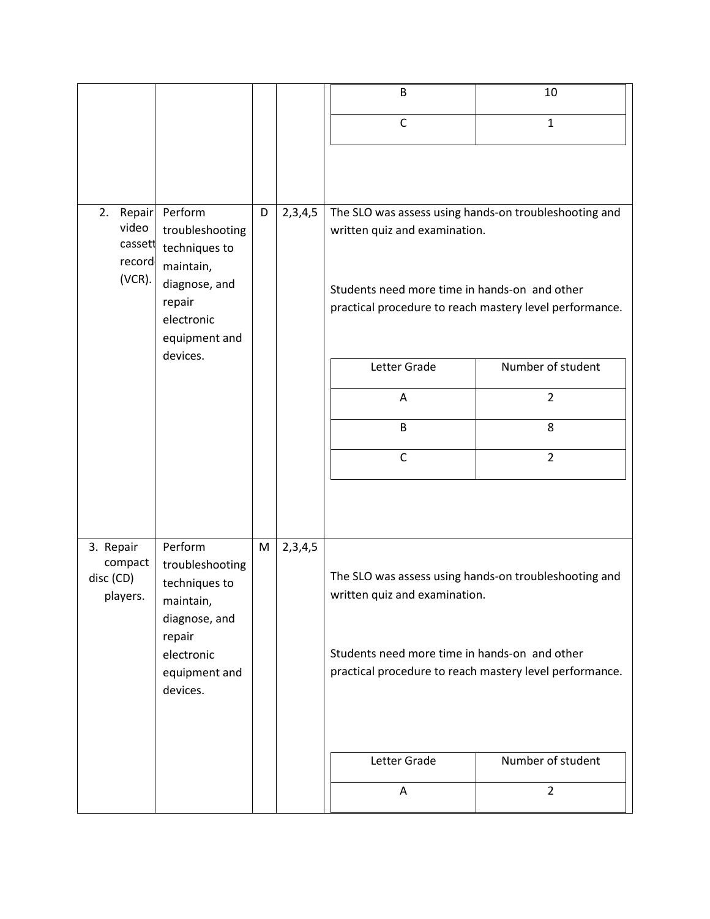|                                   |                                                          |   |         | B                                                                                                        | 10                |  |
|-----------------------------------|----------------------------------------------------------|---|---------|----------------------------------------------------------------------------------------------------------|-------------------|--|
|                                   |                                                          |   |         | $\mathsf{C}$                                                                                             | $\mathbf{1}$      |  |
|                                   |                                                          |   |         |                                                                                                          |                   |  |
| Repair<br>2.<br>video             | Perform<br>troubleshooting<br>techniques to<br>maintain, | D | 2,3,4,5 | The SLO was assess using hands-on troubleshooting and<br>written quiz and examination.                   |                   |  |
| cassett<br>record                 |                                                          |   |         |                                                                                                          |                   |  |
| (VCR).<br>diagnose, and<br>repair |                                                          |   |         | Students need more time in hands-on and other<br>practical procedure to reach mastery level performance. |                   |  |
|                                   | electronic<br>equipment and                              |   |         |                                                                                                          |                   |  |
|                                   | devices.                                                 |   |         | Letter Grade                                                                                             | Number of student |  |
|                                   |                                                          |   |         | Α                                                                                                        | $\overline{2}$    |  |
|                                   |                                                          |   |         | B                                                                                                        | 8                 |  |
|                                   |                                                          |   |         | $\mathsf{C}$                                                                                             | $\overline{2}$    |  |
|                                   |                                                          |   |         |                                                                                                          |                   |  |
| 3. Repair<br>compact              | Perform<br>troubleshooting                               | M | 2,3,4,5 |                                                                                                          |                   |  |
| disc (CD)<br>players.             | techniques to<br>maintain,                               |   |         | The SLO was assess using hands-on troubleshooting and<br>written quiz and examination.                   |                   |  |
|                                   | diagnose, and<br>repair                                  |   |         |                                                                                                          |                   |  |
| electronic<br>equipment and       |                                                          |   |         | Students need more time in hands-on and other<br>practical procedure to reach mastery level performance. |                   |  |
|                                   | devices.                                                 |   |         |                                                                                                          |                   |  |
|                                   |                                                          |   |         | Letter Grade                                                                                             | Number of student |  |
|                                   |                                                          |   |         | A                                                                                                        | $\overline{2}$    |  |